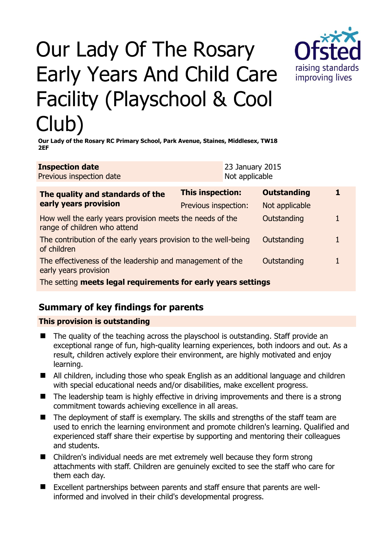# Our Lady Of The Rosary Early Years And Child Care Facility (Playschool & Cool Club)



**Our Lady of the Rosary RC Primary School, Park Avenue, Staines, Middlesex, TW18 2EF** 

| <b>Inspection date</b>   | <b>23 January 2015</b> |
|--------------------------|------------------------|
| Previous inspection date | Not applicable         |

| The quality and standards of the<br>early years provision                                 | This inspection:     | <b>Outstanding</b> |  |
|-------------------------------------------------------------------------------------------|----------------------|--------------------|--|
|                                                                                           | Previous inspection: | Not applicable     |  |
| How well the early years provision meets the needs of the<br>range of children who attend |                      | Outstanding        |  |
| The contribution of the early years provision to the well-being<br>of children            |                      | Outstanding        |  |
| The effectiveness of the leadership and management of the<br>early years provision        |                      | Outstanding        |  |
| The setting meets legal requirements for early years settings                             |                      |                    |  |

## **Summary of key findings for parents**

#### **This provision is outstanding**

- The quality of the teaching across the playschool is outstanding. Staff provide an exceptional range of fun, high-quality learning experiences, both indoors and out. As a result, children actively explore their environment, are highly motivated and enjoy learning.
- All children, including those who speak English as an additional language and children with special educational needs and/or disabilities, make excellent progress.
- The leadership team is highly effective in driving improvements and there is a strong commitment towards achieving excellence in all areas.
- The deployment of staff is exemplary. The skills and strengths of the staff team are used to enrich the learning environment and promote children's learning. Qualified and experienced staff share their expertise by supporting and mentoring their colleagues and students.
- Children's individual needs are met extremely well because they form strong attachments with staff. Children are genuinely excited to see the staff who care for them each day.
- Excellent partnerships between parents and staff ensure that parents are wellinformed and involved in their child's developmental progress.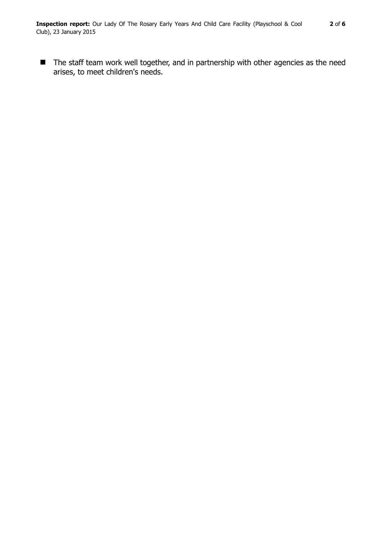■ The staff team work well together, and in partnership with other agencies as the need arises, to meet children's needs.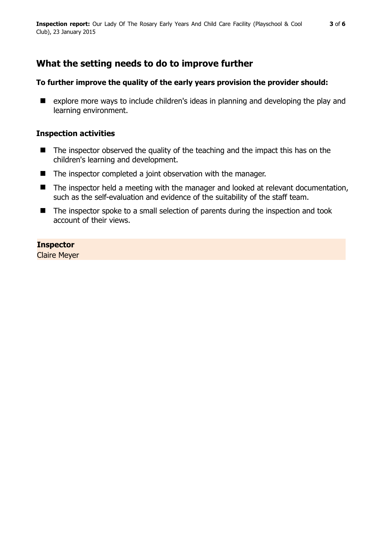# **What the setting needs to do to improve further**

### **To further improve the quality of the early years provision the provider should:**

■ explore more ways to include children's ideas in planning and developing the play and learning environment.

## **Inspection activities**

- $\blacksquare$  The inspector observed the quality of the teaching and the impact this has on the children's learning and development.
- The inspector completed a joint observation with the manager.
- The inspector held a meeting with the manager and looked at relevant documentation, such as the self-evaluation and evidence of the suitability of the staff team.
- The inspector spoke to a small selection of parents during the inspection and took account of their views.

### **Inspector**

Claire Meyer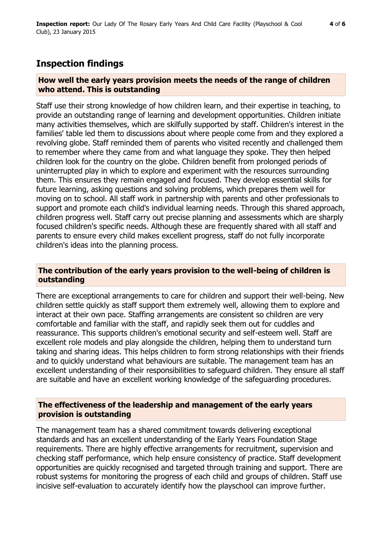## **Inspection findings**

#### **How well the early years provision meets the needs of the range of children who attend. This is outstanding**

Staff use their strong knowledge of how children learn, and their expertise in teaching, to provide an outstanding range of learning and development opportunities. Children initiate many activities themselves, which are skilfully supported by staff. Children's interest in the families' table led them to discussions about where people come from and they explored a revolving globe. Staff reminded them of parents who visited recently and challenged them to remember where they came from and what language they spoke. They then helped children look for the country on the globe. Children benefit from prolonged periods of uninterrupted play in which to explore and experiment with the resources surrounding them. This ensures they remain engaged and focused. They develop essential skills for future learning, asking questions and solving problems, which prepares them well for moving on to school. All staff work in partnership with parents and other professionals to support and promote each child's individual learning needs. Through this shared approach, children progress well. Staff carry out precise planning and assessments which are sharply focused children's specific needs. Although these are frequently shared with all staff and parents to ensure every child makes excellent progress, staff do not fully incorporate children's ideas into the planning process.

#### **The contribution of the early years provision to the well-being of children is outstanding**

There are exceptional arrangements to care for children and support their well-being. New children settle quickly as staff support them extremely well, allowing them to explore and interact at their own pace. Staffing arrangements are consistent so children are very comfortable and familiar with the staff, and rapidly seek them out for cuddles and reassurance. This supports children's emotional security and self-esteem well. Staff are excellent role models and play alongside the children, helping them to understand turn taking and sharing ideas. This helps children to form strong relationships with their friends and to quickly understand what behaviours are suitable. The management team has an excellent understanding of their responsibilities to safeguard children. They ensure all staff are suitable and have an excellent working knowledge of the safeguarding procedures.

#### **The effectiveness of the leadership and management of the early years provision is outstanding**

The management team has a shared commitment towards delivering exceptional standards and has an excellent understanding of the Early Years Foundation Stage requirements. There are highly effective arrangements for recruitment, supervision and checking staff performance, which help ensure consistency of practice. Staff development opportunities are quickly recognised and targeted through training and support. There are robust systems for monitoring the progress of each child and groups of children. Staff use incisive self-evaluation to accurately identify how the playschool can improve further.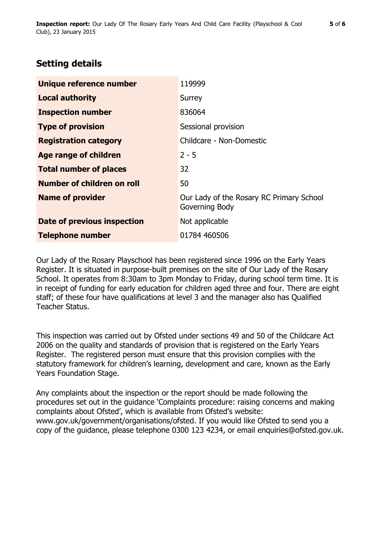## **Setting details**

| Unique reference number       | 119999                                                     |
|-------------------------------|------------------------------------------------------------|
| <b>Local authority</b>        | Surrey                                                     |
| <b>Inspection number</b>      | 836064                                                     |
| <b>Type of provision</b>      | Sessional provision                                        |
| <b>Registration category</b>  | Childcare - Non-Domestic                                   |
| Age range of children         | $2 - 5$                                                    |
| <b>Total number of places</b> | 32                                                         |
| Number of children on roll    | 50                                                         |
| <b>Name of provider</b>       | Our Lady of the Rosary RC Primary School<br>Governing Body |
| Date of previous inspection   | Not applicable                                             |
| <b>Telephone number</b>       | 01784 460506                                               |

Our Lady of the Rosary Playschool has been registered since 1996 on the Early Years Register. It is situated in purpose-built premises on the site of Our Lady of the Rosary School. It operates from 8:30am to 3pm Monday to Friday, during school term time. It is in receipt of funding for early education for children aged three and four. There are eight staff; of these four have qualifications at level 3 and the manager also has Qualified Teacher Status.

This inspection was carried out by Ofsted under sections 49 and 50 of the Childcare Act 2006 on the quality and standards of provision that is registered on the Early Years Register. The registered person must ensure that this provision complies with the statutory framework for children's learning, development and care, known as the Early Years Foundation Stage.

Any complaints about the inspection or the report should be made following the procedures set out in the guidance 'Complaints procedure: raising concerns and making complaints about Ofsted', which is available from Ofsted's website: www.gov.uk/government/organisations/ofsted. If you would like Ofsted to send you a copy of the guidance, please telephone 0300 123 4234, or email enquiries@ofsted.gov.uk.